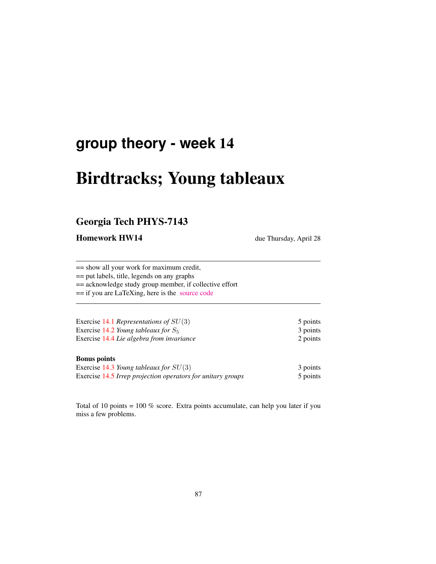## **group theory - week** 14

# Birdtracks; Young tableaux

## Georgia Tech PHYS-7143

Homework HW14 due Thursday, April 28

== show all your work for maximum credit,

== put labels, title, legends on any graphs

== acknowledge study group member, if collective effort

== if you are LaTeXing, here is the [source code](http://birdtracks.eu/courses/PHYS-7143-16/exerWeek13.tex)

| Exercise 14.1 Representations of $SU(3)$  | 5 points |
|-------------------------------------------|----------|
| Exercise 14.2 Young tableaux for $S_5$    | 3 points |
| Exercise 14.4 Lie algebra from invariance | 2 points |
|                                           |          |

#### Bonus points

| Exercise 14.3 Young tableaux for $SU(3)$                    | 3 points |
|-------------------------------------------------------------|----------|
| Exercise 14.5 Irrep projection operators for unitary groups | 5 points |

Total of 10 points = 100 % score. Extra points accumulate, can help you later if you miss a few problems.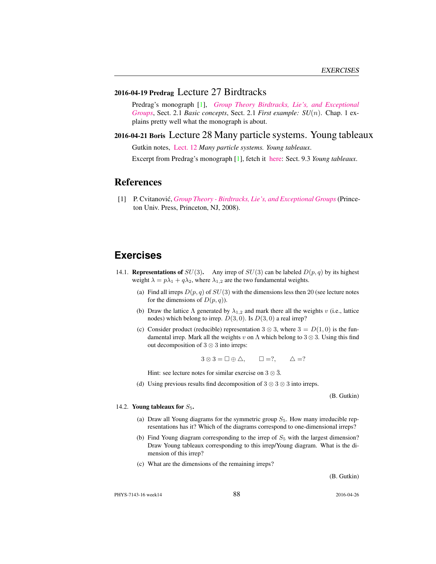#### 2016-04-19 Predrag Lecture 27 Birdtracks

Predrag's monograph [1], *[Group Theory Birdtracks, Lie's, and Exceptional](http://birdtracks.eu/version9.0/) [Groups](http://birdtracks.eu/version9.0/)*, Sect. 2.1 *Basic concepts*, Sect. 2.1 *First example: SU*(n). Chap. 1 explains pretty well what the monograph is about.

#### 2016-04-21 Boris Lecture 28 Many particle systems. Young tableaux

Gutkin notes, [Lect. 12](http://birdtracks.eu/courses/PHYS-7143-16/groups.pdf) *Many particle systems. Young tableaux*.

Excerpt from Predrag's monograph [1], fetch it [here:](http://birdtracks.eu/courses/PHYS-7143-16/week15lect29.pdf) Sect. 9.3 *Young tableaux*.

### **References**

[1] P. Cvitanovic,´ *[Group Theory - Birdtracks, Lie's, and Exceptional Groups](birdtracks.eu)*(Princeton Univ. Press, Princeton, NJ, 2008).

## **Exercises**

- 14.1. **Representations of**  $SU(3)$ . Any irrep of  $SU(3)$  can be labeled  $D(p, q)$  by its highest weight  $\lambda = p\lambda_1 + q\lambda_2$ , where  $\lambda_{1,2}$  are the two fundamental weights.
	- (a) Find all irreps  $D(p, q)$  of  $SU(3)$  with the dimensions less then 20 (see lecture notes for the dimensions of  $D(p, q)$ ).
	- (b) Draw the lattice  $\Lambda$  generated by  $\lambda_{1,2}$  and mark there all the weights v (i.e., lattice nodes) which belong to irrep.  $D(3,0)$ . Is  $D(3,0)$  a real irrep?
	- (c) Consider product (reducible) representation 3  $\otimes$  3, where 3 =  $D(1,0)$  is the fundamental irrep. Mark all the weights v on  $\Lambda$  which belong to 3  $\otimes$  3. Using this find out decomposition of 3 ⊗ 3 into irreps:

 $3 \otimes 3 = \Box \oplus \Delta, \qquad \Box =?, \qquad \Delta =?$ 

Hint: see lecture notes for similar exercise on  $3 \otimes \overline{3}$ .

(d) Using previous results find decomposition of  $3 \otimes 3 \otimes 3$  into irreps.

(B. Gutkin)

#### 14.2. Young tableaux for  $S_5$ .

- (a) Draw all Young diagrams for the symmetric group  $S_5$ . How many irreducible representations has it? Which of the diagrams correspond to one-dimensional irreps?
- (b) Find Young diagram corresponding to the irrep of  $S<sub>5</sub>$  with the largest dimension? Draw Young tableaux corresponding to this irrep/Young diagram. What is the dimension of this irrep?
- (c) What are the dimensions of the remaining irreps?

(B. Gutkin)

PHYS-7143-16 week14 2016-04-26